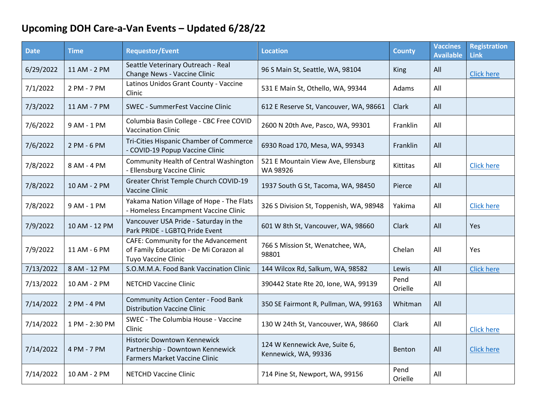## **Upcoming DOH Care-a-Van Events – Updated 6/28/22**

| <b>Date</b> | <b>Time</b>    | <b>Requestor/Event</b>                                                                                  | <b>Location</b>                                       | <b>County</b>   | <b>Vaccines</b><br><b>Available</b> | <b>Registration</b><br>Link |
|-------------|----------------|---------------------------------------------------------------------------------------------------------|-------------------------------------------------------|-----------------|-------------------------------------|-----------------------------|
| 6/29/2022   | 11 AM - 2 PM   | Seattle Veterinary Outreach - Real<br>Change News - Vaccine Clinic                                      | 96 S Main St, Seattle, WA, 98104                      | <b>King</b>     | All                                 | <b>Click here</b>           |
| 7/1/2022    | 2 PM - 7 PM    | Latinos Unidos Grant County - Vaccine<br>Clinic                                                         | 531 E Main St, Othello, WA, 99344                     | Adams           | All                                 |                             |
| 7/3/2022    | 11 AM - 7 PM   | <b>SWEC - SummerFest Vaccine Clinic</b>                                                                 | 612 E Reserve St, Vancouver, WA, 98661                | Clark           | All                                 |                             |
| 7/6/2022    | 9 AM - 1 PM    | Columbia Basin College - CBC Free COVID<br><b>Vaccination Clinic</b>                                    | 2600 N 20th Ave, Pasco, WA, 99301                     | Franklin        | All                                 |                             |
| 7/6/2022    | 2 PM - 6 PM    | Tri-Cities Hispanic Chamber of Commerce<br>- COVID-19 Popup Vaccine Clinic                              | 6930 Road 170, Mesa, WA, 99343                        | Franklin        | All                                 |                             |
| 7/8/2022    | 8 AM - 4 PM    | Community Health of Central Washington<br>- Ellensburg Vaccine Clinic                                   | 521 E Mountain View Ave, Ellensburg<br>WA 98926       | Kittitas        | All                                 | <b>Click here</b>           |
| 7/8/2022    | 10 AM - 2 PM   | Greater Christ Temple Church COVID-19<br>Vaccine Clinic                                                 | 1937 South G St, Tacoma, WA, 98450                    | Pierce          | All                                 |                             |
| 7/8/2022    | 9 AM - 1 PM    | Yakama Nation Village of Hope - The Flats<br>- Homeless Encampment Vaccine Clinic                       | 326 S Division St, Toppenish, WA, 98948               | Yakima          | All                                 | <b>Click here</b>           |
| 7/9/2022    | 10 AM - 12 PM  | Vancouver USA Pride - Saturday in the<br>Park PRIDE - LGBTQ Pride Event                                 | 601 W 8th St, Vancouver, WA, 98660                    | Clark           | All                                 | Yes                         |
| 7/9/2022    | 11 AM - 6 PM   | CAFE: Community for the Advancement<br>of Family Education - De Mi Corazon al<br>Tuyo Vaccine Clinic    | 766 S Mission St, Wenatchee, WA,<br>98801             | Chelan          | All                                 | <b>Yes</b>                  |
| 7/13/2022   | 8 AM - 12 PM   | S.O.M.M.A. Food Bank Vaccination Clinic                                                                 | 144 Wilcox Rd, Salkum, WA, 98582                      | Lewis           | All                                 | <b>Click here</b>           |
| 7/13/2022   | 10 AM - 2 PM   | <b>NETCHD Vaccine Clinic</b>                                                                            | 390442 State Rte 20, Ione, WA, 99139                  | Pend<br>Orielle | All                                 |                             |
| 7/14/2022   | 2 PM - 4 PM    | <b>Community Action Center - Food Bank</b><br><b>Distribution Vaccine Clinic</b>                        | 350 SE Fairmont R, Pullman, WA, 99163                 | Whitman         | All                                 |                             |
| 7/14/2022   | 1 PM - 2:30 PM | SWEC - The Columbia House - Vaccine<br>Clinic                                                           | 130 W 24th St, Vancouver, WA, 98660                   | Clark           | All                                 | <b>Click here</b>           |
| 7/14/2022   | 4 PM - 7 PM    | Historic Downtown Kennewick<br>Partnership - Downtown Kennewick<br><b>Farmers Market Vaccine Clinic</b> | 124 W Kennewick Ave, Suite 6,<br>Kennewick, WA, 99336 | Benton          | All                                 | <b>Click here</b>           |
| 7/14/2022   | 10 AM - 2 PM   | <b>NETCHD Vaccine Clinic</b>                                                                            | 714 Pine St, Newport, WA, 99156                       | Pend<br>Orielle | All                                 |                             |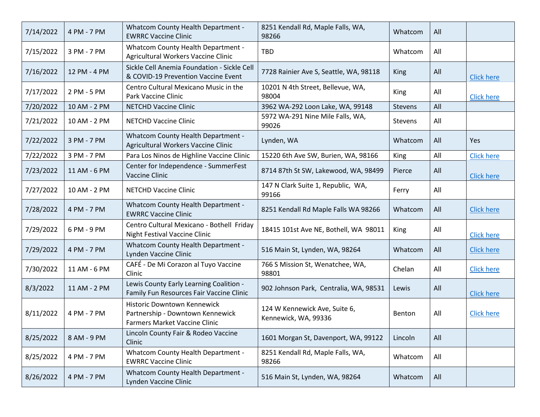| 7/14/2022 | 4 PM - 7 PM  | <b>Whatcom County Health Department -</b><br><b>EWRRC Vaccine Clinic</b>                                | 8251 Kendall Rd, Maple Falls, WA,<br>98266            | Whatcom     | All |                   |
|-----------|--------------|---------------------------------------------------------------------------------------------------------|-------------------------------------------------------|-------------|-----|-------------------|
| 7/15/2022 | 3 PM - 7 PM  | <b>Whatcom County Health Department -</b><br>Agricultural Workers Vaccine Clinic                        | <b>TBD</b>                                            | Whatcom     | All |                   |
| 7/16/2022 | 12 PM - 4 PM | Sickle Cell Anemia Foundation - Sickle Cell<br>& COVID-19 Prevention Vaccine Event                      | 7728 Rainier Ave S, Seattle, WA, 98118                | <b>King</b> | All | <b>Click here</b> |
| 7/17/2022 | 2 PM - 5 PM  | Centro Cultural Mexicano Music in the<br>Park Vaccine Clinic                                            | 10201 N 4th Street, Bellevue, WA,<br>98004            | King        | All | <b>Click here</b> |
| 7/20/2022 | 10 AM - 2 PM | <b>NETCHD Vaccine Clinic</b>                                                                            | 3962 WA-292 Loon Lake, WA, 99148                      | Stevens     | All |                   |
| 7/21/2022 | 10 AM - 2 PM | <b>NETCHD Vaccine Clinic</b>                                                                            | 5972 WA-291 Nine Mile Falls, WA,<br>99026             | Stevens     | All |                   |
| 7/22/2022 | 3 PM - 7 PM  | <b>Whatcom County Health Department -</b><br>Agricultural Workers Vaccine Clinic                        | Lynden, WA                                            | Whatcom     | All | Yes               |
| 7/22/2022 | 3 PM - 7 PM  | Para Los Ninos de Highline Vaccine Clinic                                                               | 15220 6th Ave SW, Burien, WA, 98166                   | King        | All | <b>Click here</b> |
| 7/23/2022 | 11 AM - 6 PM | Center for Independence - SummerFest<br>Vaccine Clinic                                                  | 8714 87th St SW, Lakewood, WA, 98499                  | Pierce      | All | <b>Click here</b> |
| 7/27/2022 | 10 AM - 2 PM | <b>NETCHD Vaccine Clinic</b>                                                                            | 147 N Clark Suite 1, Republic, WA,<br>99166           | Ferry       | All |                   |
| 7/28/2022 | 4 PM - 7 PM  | <b>Whatcom County Health Department -</b><br><b>EWRRC Vaccine Clinic</b>                                | 8251 Kendall Rd Maple Falls WA 98266                  | Whatcom     | All | <b>Click here</b> |
| 7/29/2022 | 6 PM - 9 PM  | Centro Cultural Mexicano - Bothell Friday<br><b>Night Festival Vaccine Clinic</b>                       | 18415 101st Ave NE, Bothell, WA 98011                 | King        | All | <b>Click here</b> |
| 7/29/2022 | 4 PM - 7 PM  | <b>Whatcom County Health Department -</b><br>Lynden Vaccine Clinic                                      | 516 Main St, Lynden, WA, 98264                        | Whatcom     | All | <b>Click here</b> |
| 7/30/2022 | 11 AM - 6 PM | CAFÉ - De Mi Corazon al Tuyo Vaccine<br>Clinic                                                          | 766 S Mission St, Wenatchee, WA,<br>98801             | Chelan      | All | <b>Click here</b> |
| 8/3/2022  | 11 AM - 2 PM | Lewis County Early Learning Coalition -<br>Family Fun Resources Fair Vaccine Clinic                     | 902 Johnson Park, Centralia, WA, 98531                | Lewis       | All | <b>Click here</b> |
| 8/11/2022 | 4 PM - 7 PM  | Historic Downtown Kennewick<br>Partnership - Downtown Kennewick<br><b>Farmers Market Vaccine Clinic</b> | 124 W Kennewick Ave, Suite 6,<br>Kennewick, WA, 99336 | Benton      | All | <b>Click here</b> |
| 8/25/2022 | 8 AM - 9 PM  | Lincoln County Fair & Rodeo Vaccine<br>Clinic                                                           | 1601 Morgan St, Davenport, WA, 99122                  | Lincoln     | All |                   |
| 8/25/2022 | 4 PM - 7 PM  | Whatcom County Health Department -<br><b>EWRRC Vaccine Clinic</b>                                       | 8251 Kendall Rd, Maple Falls, WA,<br>98266            | Whatcom     | All |                   |
| 8/26/2022 | 4 PM - 7 PM  | <b>Whatcom County Health Department -</b><br>Lynden Vaccine Clinic                                      | 516 Main St, Lynden, WA, 98264                        | Whatcom     | All |                   |